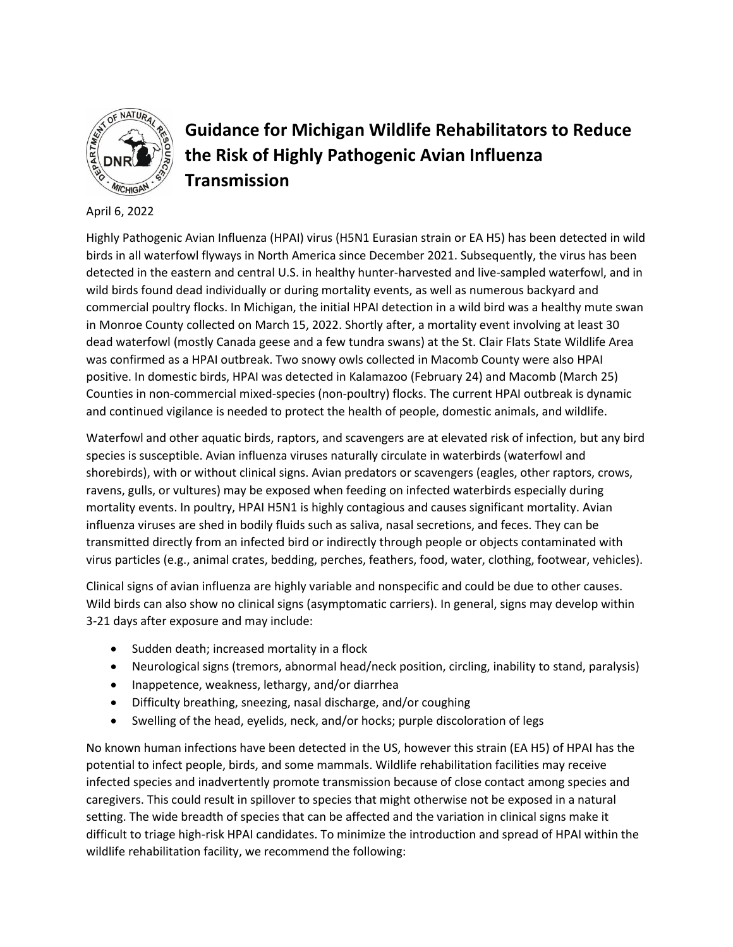

# **Guidance for Michigan Wildlife Rehabilitators to Reduce the Risk of Highly Pathogenic Avian Influenza Transmission**

April 6, 2022

Highly Pathogenic Avian Influenza (HPAI) virus (H5N1 Eurasian strain or EA H5) has been detected in wild birds in all waterfowl flyways in North America since December 2021. Subsequently, the virus has been detected in the eastern and central U.S. in healthy hunter-harvested and live-sampled waterfowl, and in wild birds found dead individually or during mortality events, as well as numerous backyard and commercial poultry flocks. In Michigan, the initial HPAI detection in a wild bird was a healthy mute swan in Monroe County collected on March 15, 2022. Shortly after, a mortality event involving at least 30 dead waterfowl (mostly Canada geese and a few tundra swans) at the St. Clair Flats State Wildlife Area was confirmed as a HPAI outbreak. Two snowy owls collected in Macomb County were also HPAI positive. In domestic birds, HPAI was detected in Kalamazoo (February 24) and Macomb (March 25) Counties in non-commercial mixed-species (non-poultry) flocks. The current HPAI outbreak is dynamic and continued vigilance is needed to protect the health of people, domestic animals, and wildlife.

Waterfowl and other aquatic birds, raptors, and scavengers are at elevated risk of infection, but any bird species is susceptible. Avian influenza viruses naturally circulate in waterbirds (waterfowl and shorebirds), with or without clinical signs. Avian predators or scavengers (eagles, other raptors, crows, ravens, gulls, or vultures) may be exposed when feeding on infected waterbirds especially during mortality events. In poultry, HPAI H5N1 is highly contagious and causes significant mortality. Avian influenza viruses are shed in bodily fluids such as saliva, nasal secretions, and feces. They can be transmitted directly from an infected bird or indirectly through people or objects contaminated with virus particles (e.g., animal crates, bedding, perches, feathers, food, water, clothing, footwear, vehicles).

Clinical signs of avian influenza are highly variable and nonspecific and could be due to other causes. Wild birds can also show no clinical signs (asymptomatic carriers). In general, signs may develop within 3-21 days after exposure and may include:

- Sudden death; increased mortality in a flock
- Neurological signs (tremors, abnormal head/neck position, circling, inability to stand, paralysis)
- Inappetence, weakness, lethargy, and/or diarrhea
- Difficulty breathing, sneezing, nasal discharge, and/or coughing
- Swelling of the head, eyelids, neck, and/or hocks; purple discoloration of legs

No known human infections have been detected in the US, however this strain (EA H5) of HPAI has the potential to infect people, birds, and some mammals. Wildlife rehabilitation facilities may receive infected species and inadvertently promote transmission because of close contact among species and caregivers. This could result in spillover to species that might otherwise not be exposed in a natural setting. The wide breadth of species that can be affected and the variation in clinical signs make it difficult to triage high-risk HPAI candidates. To minimize the introduction and spread of HPAI within the wildlife rehabilitation facility, we recommend the following: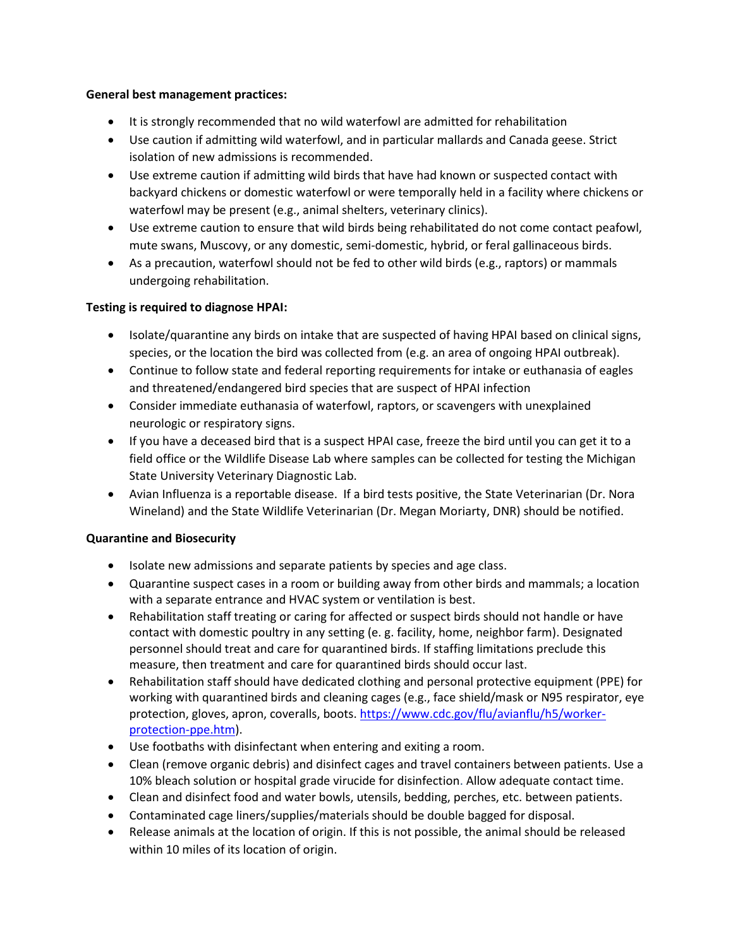#### **General best management practices:**

- It is strongly recommended that no wild waterfowl are admitted for rehabilitation
- Use caution if admitting wild waterfowl, and in particular mallards and Canada geese. Strict isolation of new admissions is recommended.
- Use extreme caution if admitting wild birds that have had known or suspected contact with backyard chickens or domestic waterfowl or were temporally held in a facility where chickens or waterfowl may be present (e.g., animal shelters, veterinary clinics).
- Use extreme caution to ensure that wild birds being rehabilitated do not come contact peafowl, mute swans, Muscovy, or any domestic, semi-domestic, hybrid, or feral gallinaceous birds.
- As a precaution, waterfowl should not be fed to other wild birds (e.g., raptors) or mammals undergoing rehabilitation.

## **Testing is required to diagnose HPAI:**

- Isolate/quarantine any birds on intake that are suspected of having HPAI based on clinical signs, species, or the location the bird was collected from (e.g. an area of ongoing HPAI outbreak).
- Continue to follow state and federal reporting requirements for intake or euthanasia of eagles and threatened/endangered bird species that are suspect of HPAI infection
- Consider immediate euthanasia of waterfowl, raptors, or scavengers with unexplained neurologic or respiratory signs.
- If you have a deceased bird that is a suspect HPAI case, freeze the bird until you can get it to a field office or the Wildlife Disease Lab where samples can be collected for testing the Michigan State University Veterinary Diagnostic Lab.
- Avian Influenza is a reportable disease. If a bird tests positive, the State Veterinarian (Dr. Nora Wineland) and the State Wildlife Veterinarian (Dr. Megan Moriarty, DNR) should be notified.

## **Quarantine and Biosecurity**

- Isolate new admissions and separate patients by species and age class.
- Quarantine suspect cases in a room or building away from other birds and mammals; a location with a separate entrance and HVAC system or ventilation is best.
- Rehabilitation staff treating or caring for affected or suspect birds should not handle or have contact with domestic poultry in any setting (e. g. facility, home, neighbor farm). Designated personnel should treat and care for quarantined birds. If staffing limitations preclude this measure, then treatment and care for quarantined birds should occur last.
- Rehabilitation staff should have dedicated clothing and personal protective equipment (PPE) for working with quarantined birds and cleaning cages (e.g., face shield/mask or N95 respirator, eye protection, gloves, apron, coveralls, boots. [https://www.cdc.gov/flu/avianflu/h5/worker](https://www.cdc.gov/flu/avianflu/h5/worker-protection-ppe.htm)[protection-ppe.htm\)](https://www.cdc.gov/flu/avianflu/h5/worker-protection-ppe.htm).
- Use footbaths with disinfectant when entering and exiting a room.
- Clean (remove organic debris) and disinfect cages and travel containers between patients. Use a 10% bleach solution or hospital grade virucide for disinfection. Allow adequate contact time.
- Clean and disinfect food and water bowls, utensils, bedding, perches, etc. between patients.
- Contaminated cage liners/supplies/materials should be double bagged for disposal.
- Release animals at the location of origin. If this is not possible, the animal should be released within 10 miles of its location of origin.